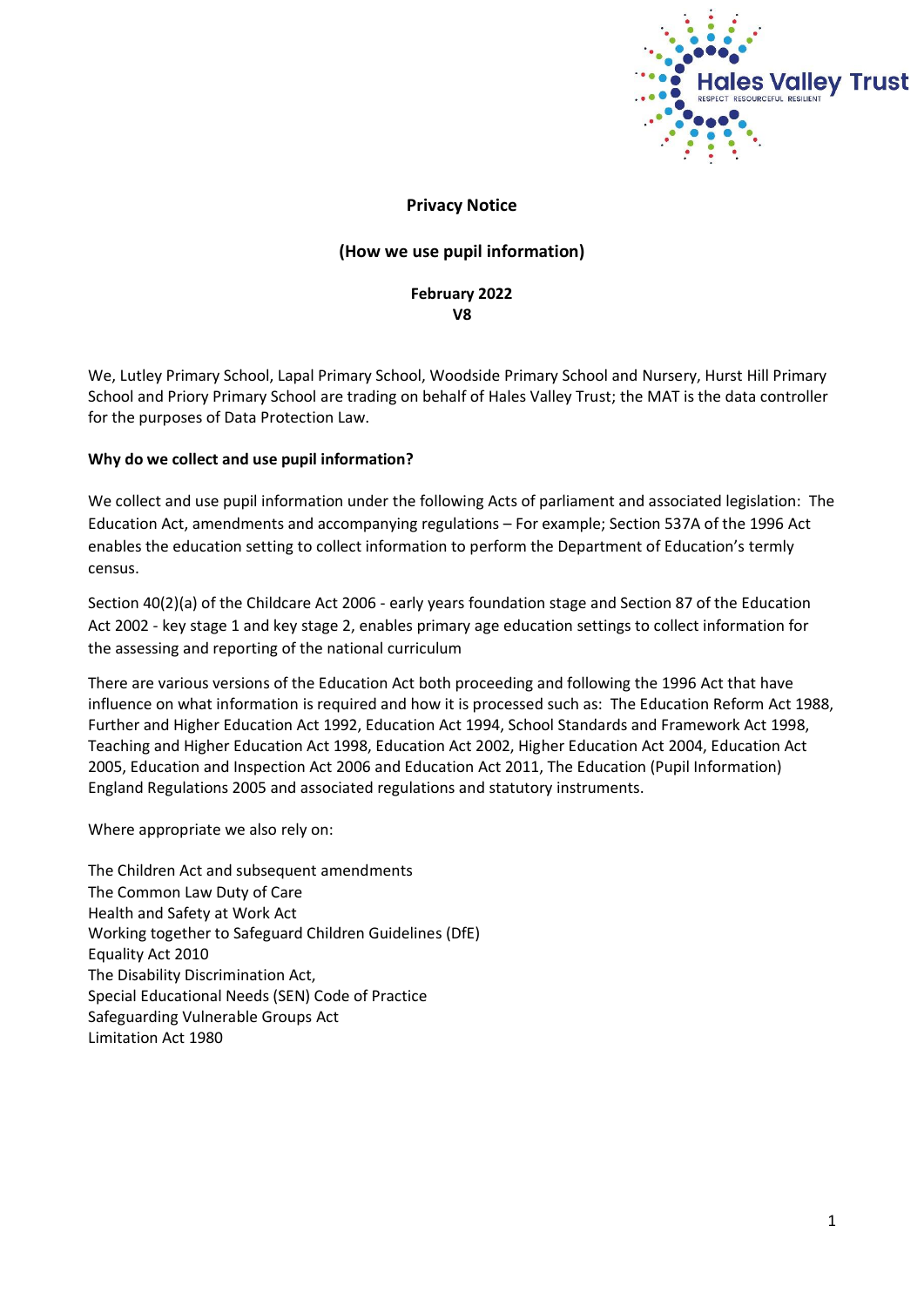

## **Privacy Notice**

## **(How we use pupil information)**

## **February 2022 V8**

We, Lutley Primary School, Lapal Primary School, Woodside Primary School and Nursery, Hurst Hill Primary School and Priory Primary School are trading on behalf of Hales Valley Trust; the MAT is the data controller for the purposes of Data Protection Law.

#### **Why do we collect and use pupil information?**

We collect and use pupil information under the following Acts of parliament and associated legislation: The Education Act, amendments and accompanying regulations – For example; Section 537A of the 1996 Act enables the education setting to collect information to perform the Department of Education's termly census.

Section 40(2)(a) of the Childcare Act 2006 - early years foundation stage and Section 87 of the Education Act 2002 - key stage 1 and key stage 2, enables primary age education settings to collect information for the assessing and reporting of the national curriculum

There are various versions of the Education Act both proceeding and following the 1996 Act that have influence on what information is required and how it is processed such as: The Education Reform Act 1988, Further and Higher Education Act 1992, Education Act 1994, School Standards and Framework Act 1998, Teaching and Higher Education Act 1998, Education Act 2002, Higher Education Act 2004, Education Act 2005, Education and Inspection Act 2006 and Education Act 2011, The Education (Pupil Information) England Regulations 2005 and associated regulations and statutory instruments.

Where appropriate we also rely on:

The Children Act and subsequent amendments The Common Law Duty of Care Health and Safety at Work Act Working together to Safeguard Children Guidelines (DfE) Equality Act 2010 The Disability Discrimination Act, Special Educational Needs (SEN) Code of Practice Safeguarding Vulnerable Groups Act Limitation Act 1980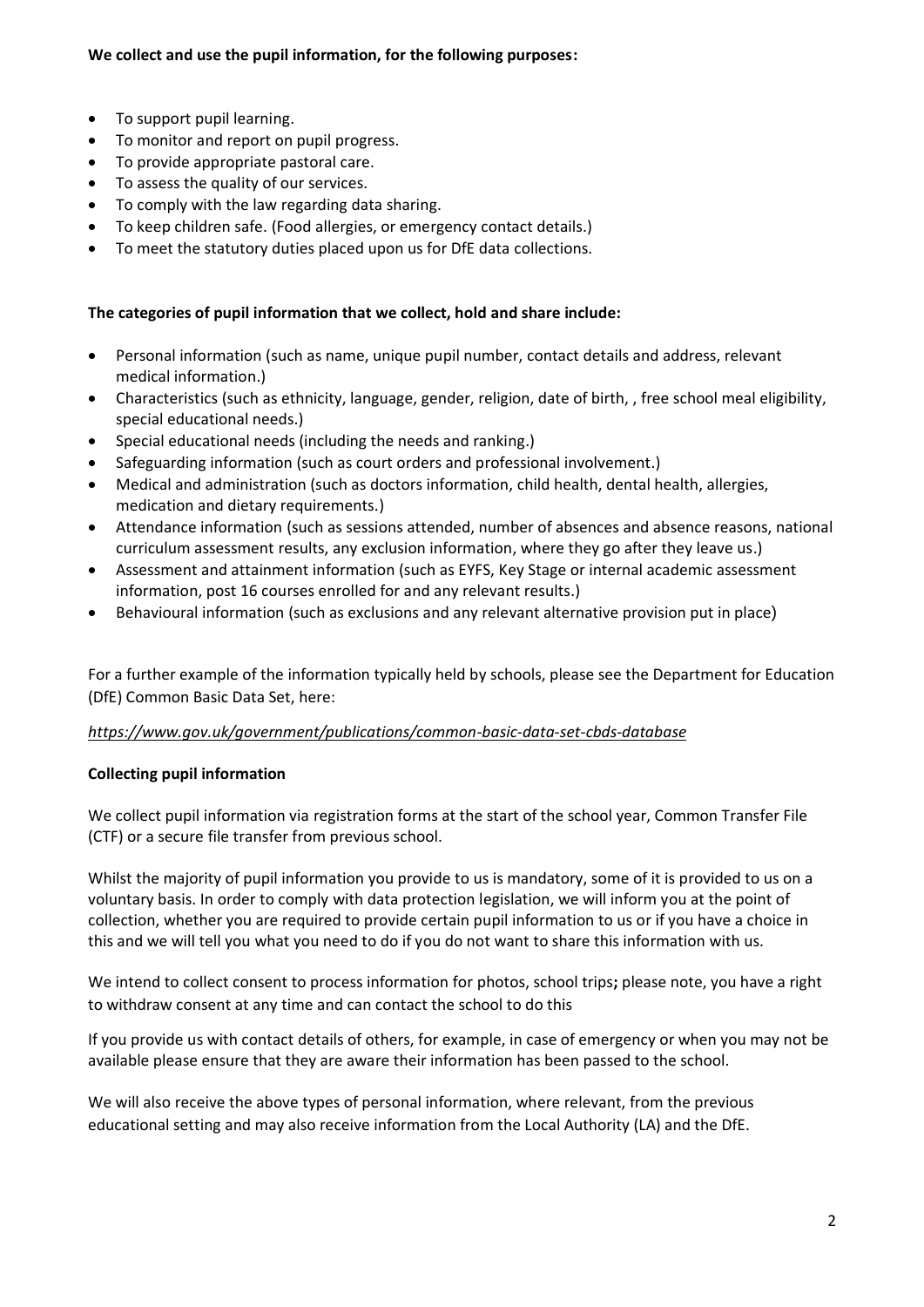- To support pupil learning.
- To monitor and report on pupil progress.
- To provide appropriate pastoral care.
- To assess the quality of our services.
- To comply with the law regarding data sharing.
- To keep children safe. (Food allergies, or emergency contact details.)
- To meet the statutory duties placed upon us for DfE data collections.

## **The categories of pupil information that we collect, hold and share include:**

- Personal information (such as name, unique pupil number, contact details and address, relevant medical information.)
- Characteristics (such as ethnicity, language, gender, religion, date of birth, , free school meal eligibility, special educational needs.)
- Special educational needs (including the needs and ranking.)
- Safeguarding information (such as court orders and professional involvement.)
- Medical and administration (such as doctors information, child health, dental health, allergies, medication and dietary requirements.)
- Attendance information (such as sessions attended, number of absences and absence reasons, national curriculum assessment results, any exclusion information, where they go after they leave us.)
- Assessment and attainment information (such as EYFS, Key Stage or internal academic assessment information, post 16 courses enrolled for and any relevant results.)
- Behavioural information (such as exclusions and any relevant alternative provision put in place)

For a further example of the information typically held by schools, please see the Department for Education (DfE) Common Basic Data Set, here:

### *<https://www.gov.uk/government/publications/common-basic-data-set-cbds-database>*

### **Collecting pupil information**

We collect pupil information via registration forms at the start of the school year, Common Transfer File (CTF) or a secure file transfer from previous school.

Whilst the majority of pupil information you provide to us is mandatory, some of it is provided to us on a voluntary basis. In order to comply with data protection legislation, we will inform you at the point of collection, whether you are required to provide certain pupil information to us or if you have a choice in this and we will tell you what you need to do if you do not want to share this information with us.

We intend to collect consent to process information for photos, school trips**;** please note, you have a right to withdraw consent at any time and can contact the school to do this

If you provide us with contact details of others, for example, in case of emergency or when you may not be available please ensure that they are aware their information has been passed to the school.

We will also receive the above types of personal information, where relevant, from the previous educational setting and may also receive information from the Local Authority (LA) and the DfE.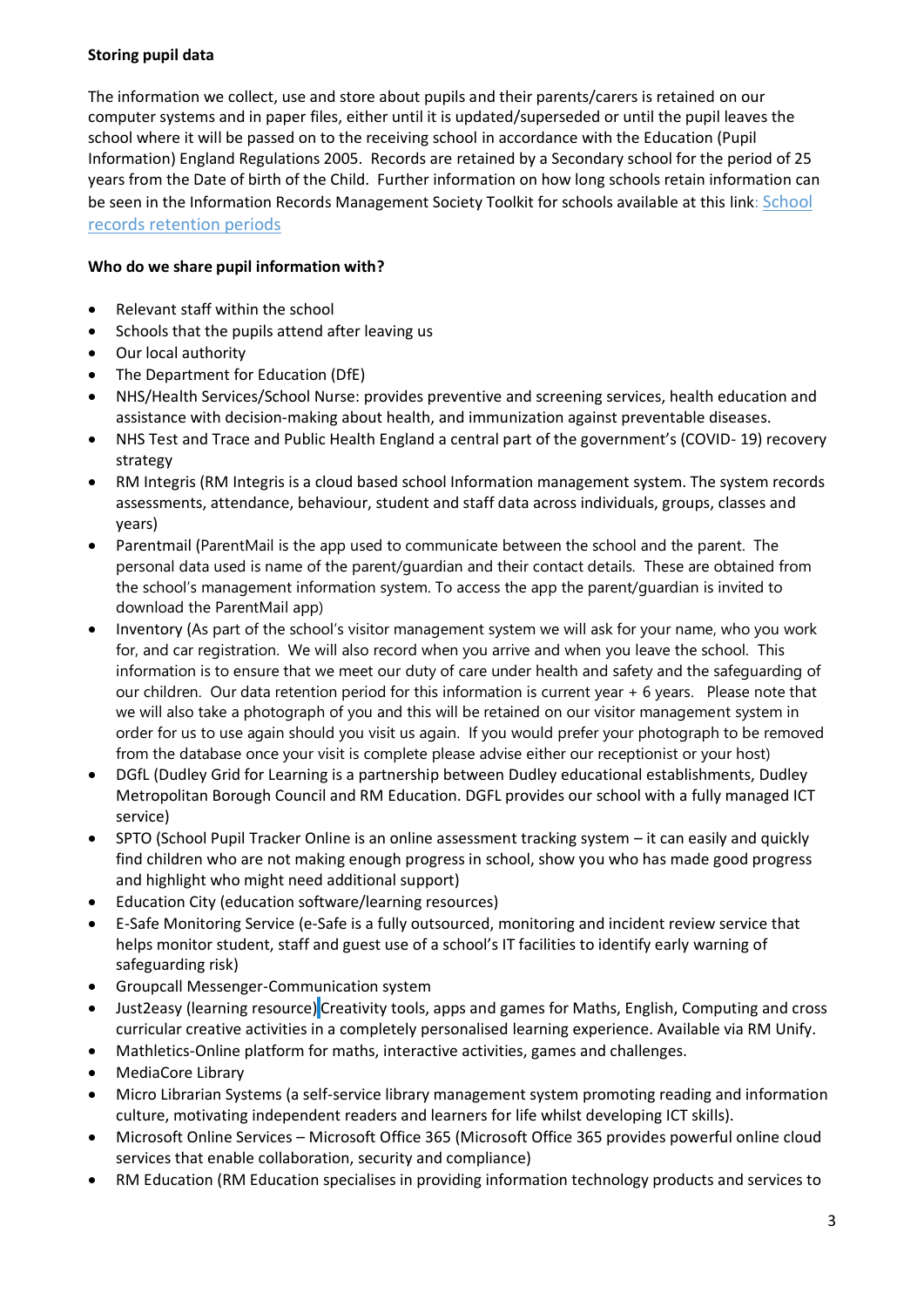# **Storing pupil data**

The information we collect, use and store about pupils and their parents/carers is retained on our computer systems and in paper files, either until it is updated/superseded or until the pupil leaves the school where it will be passed on to the receiving school in accordance with the Education (Pupil Information) England Regulations 2005. Records are retained by a Secondary school for the period of 25 years from the Date of birth of the Child. Further information on how long schools retain information can be seen in the Information Records Management Society Toolkit for schools available at this link: School [records retention periods](https://irms.org.uk/page/SchoolsToolkit)

## **Who do we share pupil information with?**

- Relevant staff within the school
- Schools that the pupils attend after leaving us
- Our local authority
- The Department for Education (DfE)
- NHS/Health Services/School Nurse: provides preventive and screening services, health education and assistance with decision-making about health, and immunization against preventable diseases.
- NHS Test and Trace and Public Health England a central part of the government's (COVID- 19) recovery strategy
- RM Integris (RM Integris is a cloud based school Information management system. The system records assessments, attendance, behaviour, student and staff data across individuals, groups, classes and years)
- Parentmail (ParentMail is the app used to communicate between the school and the parent. The personal data used is name of the parent/guardian and their contact details. These are obtained from the school's management information system. To access the app the parent/guardian is invited to download the ParentMail app)
- Inventory (As part of the school's visitor management system we will ask for your name, who you work for, and car registration. We will also record when you arrive and when you leave the school. This information is to ensure that we meet our duty of care under health and safety and the safeguarding of our children. Our data retention period for this information is current year + 6 years. Please note that we will also take a photograph of you and this will be retained on our visitor management system in order for us to use again should you visit us again. If you would prefer your photograph to be removed from the database once your visit is complete please advise either our receptionist or your host)
- DGfL (Dudley Grid for Learning is a partnership between Dudley educational establishments, Dudley Metropolitan Borough Council and RM Education. DGFL provides our school with a fully managed ICT service)
- SPTO (School Pupil Tracker Online is an online assessment tracking system it can easily and quickly find children who are not making enough progress in school, show you who has made good progress and highlight who might need additional support)
- Education City (education software/learning resources)
- E-Safe Monitoring Service (e-Safe is a fully outsourced, monitoring and incident review service that helps monitor student, staff and guest use of a school's IT facilities to identify early warning of safeguarding risk)
- Groupcall Messenger-Communication system
- Just2easy (learning resource) Creativity tools, apps and games for Maths, English, Computing and cross curricular creative activities in a completely personalised learning experience. Available via RM Unify.
- Mathletics-Online platform for maths, interactive activities, games and challenges.
- MediaCore Library
- Micro Librarian Systems (a self-service library management system promoting reading and information culture, motivating independent readers and learners for life whilst developing ICT skills).
- Microsoft Online Services Microsoft Office 365 (Microsoft Office 365 provides powerful online cloud services that enable collaboration, security and compliance)
- RM Education (RM Education specialises in providing information technology products and services to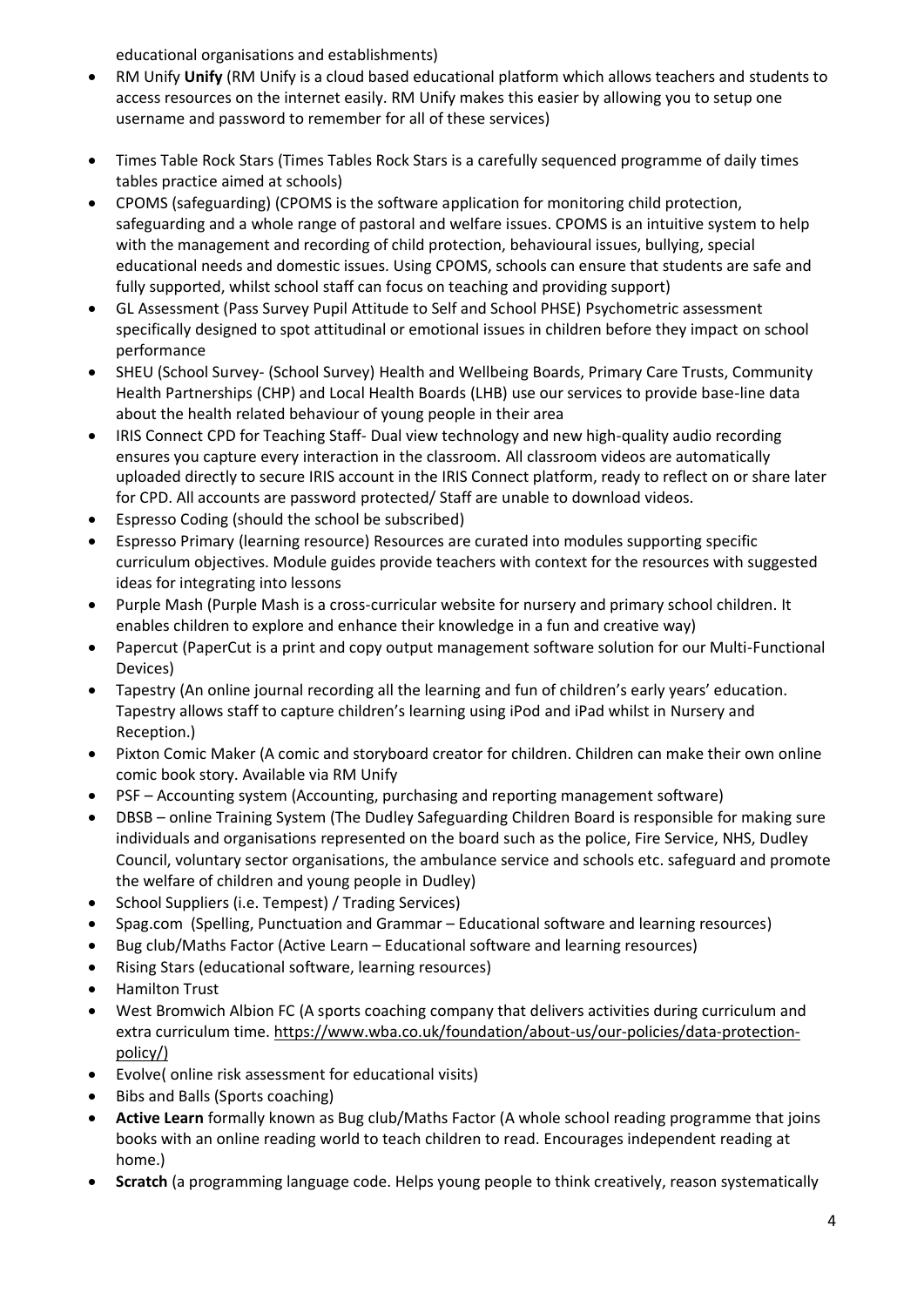educational organisations and establishments)

- RM Unify **Unify** (RM Unify is a cloud based educational platform which allows teachers and students to access resources on the internet easily. RM Unify makes this easier by allowing you to setup one username and password to remember for all of these services)
- Times Table Rock Stars (Times Tables Rock Stars is a carefully sequenced programme of daily times tables practice aimed at schools)
- CPOMS (safeguarding) (CPOMS is the software application for monitoring child protection, safeguarding and a whole range of pastoral and welfare issues. CPOMS is an intuitive system to help with the management and recording of child protection, behavioural issues, bullying, special educational needs and domestic issues. Using CPOMS, schools can ensure that students are safe and fully supported, whilst school staff can focus on teaching and providing support)
- GL Assessment (Pass Survey Pupil Attitude to Self and School PHSE) Psychometric assessment specifically designed to spot attitudinal or emotional issues in children before they impact on school performance
- SHEU (School Survey- (School Survey) Health and Wellbeing Boards, Primary Care Trusts, Community Health Partnerships (CHP) and Local Health Boards (LHB) use our services to provide base-line data about the health related behaviour of young people in their area
- IRIS Connect CPD for Teaching Staff- Dual view technology and new high-quality audio recording ensures you capture every interaction in the classroom. All classroom videos are automatically uploaded directly to secure IRIS account in the IRIS Connect platform, ready to reflect on or share later for CPD. All accounts are password protected/ Staff are unable to download videos.
- Espresso Coding (should the school be subscribed)
- Espresso Primary (learning resource) Resources are curated into modules supporting specific curriculum objectives. Module guides provide teachers with context for the resources with suggested ideas for integrating into lessons
- Purple Mash (Purple Mash is a cross-curricular website for nursery and primary school children. It enables children to explore and enhance their knowledge in a fun and creative way)
- Papercut (PaperCut is a print and copy output management software solution for our Multi-Functional Devices)
- Tapestry (An online journal recording all the learning and fun of children's early years' education. Tapestry allows staff to capture children's learning using iPod and iPad whilst in Nursery and Reception.)
- Pixton Comic Maker (A comic and storyboard creator for children. Children can make their own online comic book story. Available via RM Unify
- PSF Accounting system (Accounting, purchasing and reporting management software)
- DBSB online Training System (The Dudley Safeguarding Children Board is responsible for making sure individuals and organisations represented on the board such as the police, Fire Service, NHS, Dudley Council, voluntary sector organisations, the ambulance service and schools etc. safeguard and promote the welfare of children and young people in Dudley)
- School Suppliers (i.e. Tempest) / Trading Services)
- Spag.com (Spelling, Punctuation and Grammar Educational software and learning resources)
- Bug club/Maths Factor (Active Learn Educational software and learning resources)
- Rising Stars (educational software, learning resources)
- Hamilton Trust
- West Bromwich Albion FC (A sports coaching company that delivers activities during curriculum and extra curriculum time[. https://www.wba.co.uk/foundation/about-us/our-policies/data-protection](https://www.wba.co.uk/foundation/about-us/our-policies/data-protection-policy/)[policy/\)](https://www.wba.co.uk/foundation/about-us/our-policies/data-protection-policy/)
- Evolve( online risk assessment for educational visits)
- Bibs and Balls (Sports coaching)
- **Active Learn** formally known as Bug club/Maths Factor (A whole school reading programme that joins books with an online reading world to teach children to read. Encourages independent reading at home.)
- **Scratch** (a programming language code. Helps young people to think creatively, reason systematically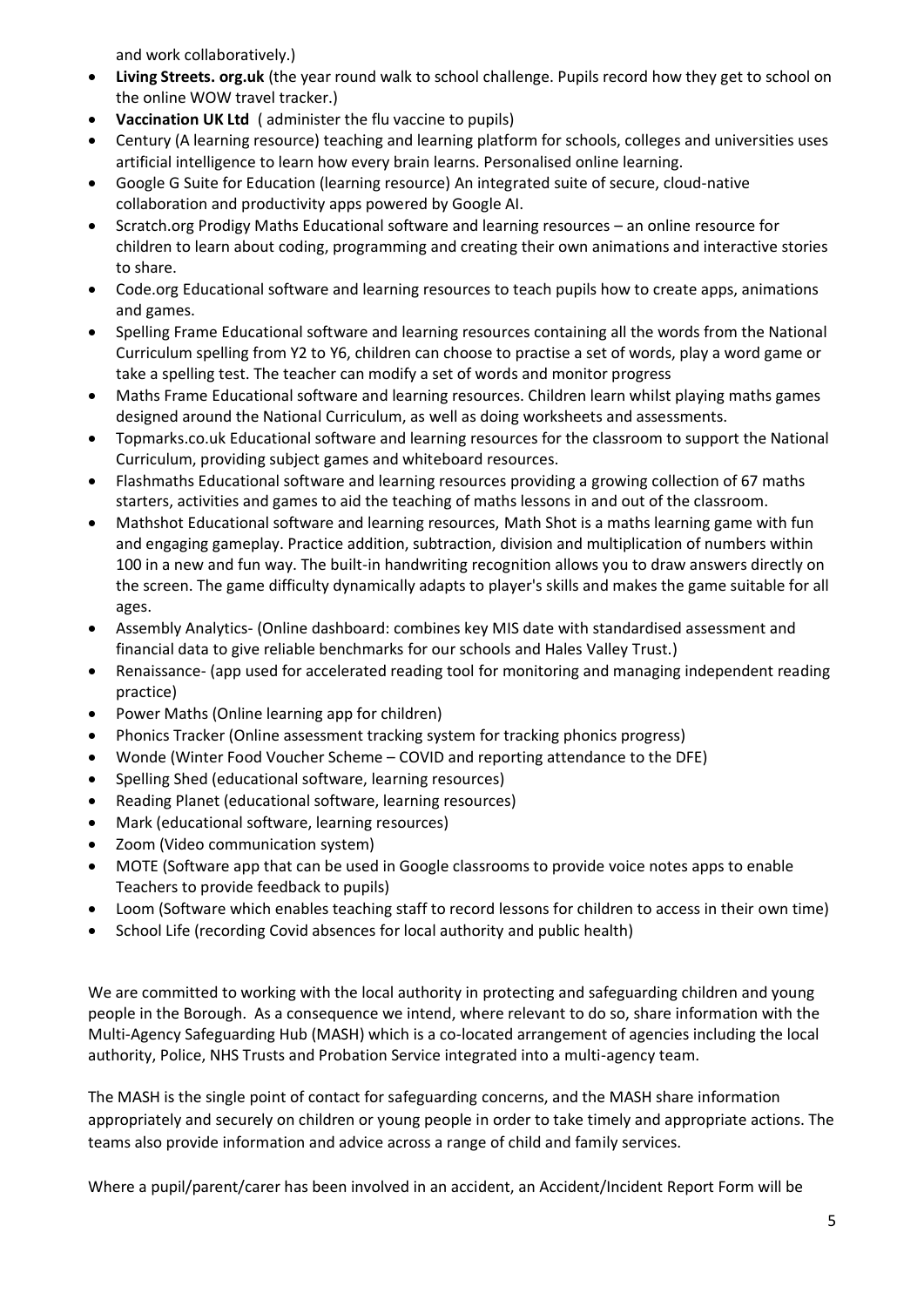and work collaboratively.)

- **Living Streets. org.uk** (the year round walk to school challenge. Pupils record how they get to school on the online WOW travel tracker.)
- **Vaccination UK Ltd** ( administer the flu vaccine to pupils)
- Century (A learning resource) teaching and learning platform for schools, colleges and universities uses artificial intelligence to learn how every brain learns. Personalised online learning.
- Google G Suite for Education (learning resource) An integrated suite of secure, cloud-native collaboration and productivity apps powered by Google AI.
- Scratch.org Prodigy Maths Educational software and learning resources an online resource for children to learn about coding, programming and creating their own animations and interactive stories to share.
- Code.org Educational software and learning resources to teach pupils how to create apps, animations and games.
- Spelling Frame Educational software and learning resources containing all the words from the National Curriculum spelling from Y2 to Y6, children can choose to practise a set of words, play a word game or take a spelling test. The teacher can modify a set of words and monitor progress
- Maths Frame Educational software and learning resources. Children learn whilst playing maths games designed around the National Curriculum, as well as doing worksheets and assessments.
- Topmarks.co.uk Educational software and learning resources for the classroom to support the National Curriculum, providing subject games and whiteboard resources.
- Flashmaths Educational software and learning resources providing a growing collection of 67 [maths](https://flashmaths.co.uk/menu.php?type=allStarters)  [starters,](https://flashmaths.co.uk/menu.php?type=allStarters) [activities](https://flashmaths.co.uk/menu.php?type=allActivities) an[d games](https://flashmaths.co.uk/menu.php?type=allGames) to aid the teaching of maths lessons in and out of the classroom.
- Mathshot Educational software and learning resources, Math Shot is a maths learning game with fun and engaging gameplay. Practice addition, subtraction, division and multiplication of numbers within 100 in a new and fun way. The built-in handwriting recognition allows you to draw answers directly on the screen. The game difficulty dynamically adapts to player's skills and makes the game suitable for all ages.
- Assembly Analytics- (Online dashboard: combines key MIS date with standardised assessment and financial data to give reliable benchmarks for our schools and Hales Valley Trust.)
- Renaissance- (app used for accelerated reading tool for monitoring and managing independent reading practice)
- Power Maths (Online learning app for children)
- Phonics Tracker (Online assessment tracking system for tracking phonics progress)
- Wonde (Winter Food Voucher Scheme COVID and reporting attendance to the DFE)
- Spelling Shed (educational software, learning resources)
- Reading Planet (educational software, learning resources)
- Mark (educational software, learning resources)
- Zoom (Video communication system)
- MOTE (Software app that can be used in Google classrooms to provide voice notes apps to enable Teachers to provide feedback to pupils)
- Loom (Software which enables teaching staff to record lessons for children to access in their own time)
- School Life (recording Covid absences for local authority and public health)

We are committed to working with the local authority in protecting and safeguarding children and young people in the Borough. As a consequence we intend, where relevant to do so, share information with the Multi-Agency Safeguarding Hub (MASH) which is a co-located arrangement of agencies including the local authority, Police, NHS Trusts and Probation Service integrated into a multi-agency team.

The MASH is the single point of contact for safeguarding concerns, and the MASH share information appropriately and securely on children or young people in order to take timely and appropriate actions. The teams also provide information and advice across a range of child and family services.

Where a pupil/parent/carer has been involved in an accident, an Accident/Incident Report Form will be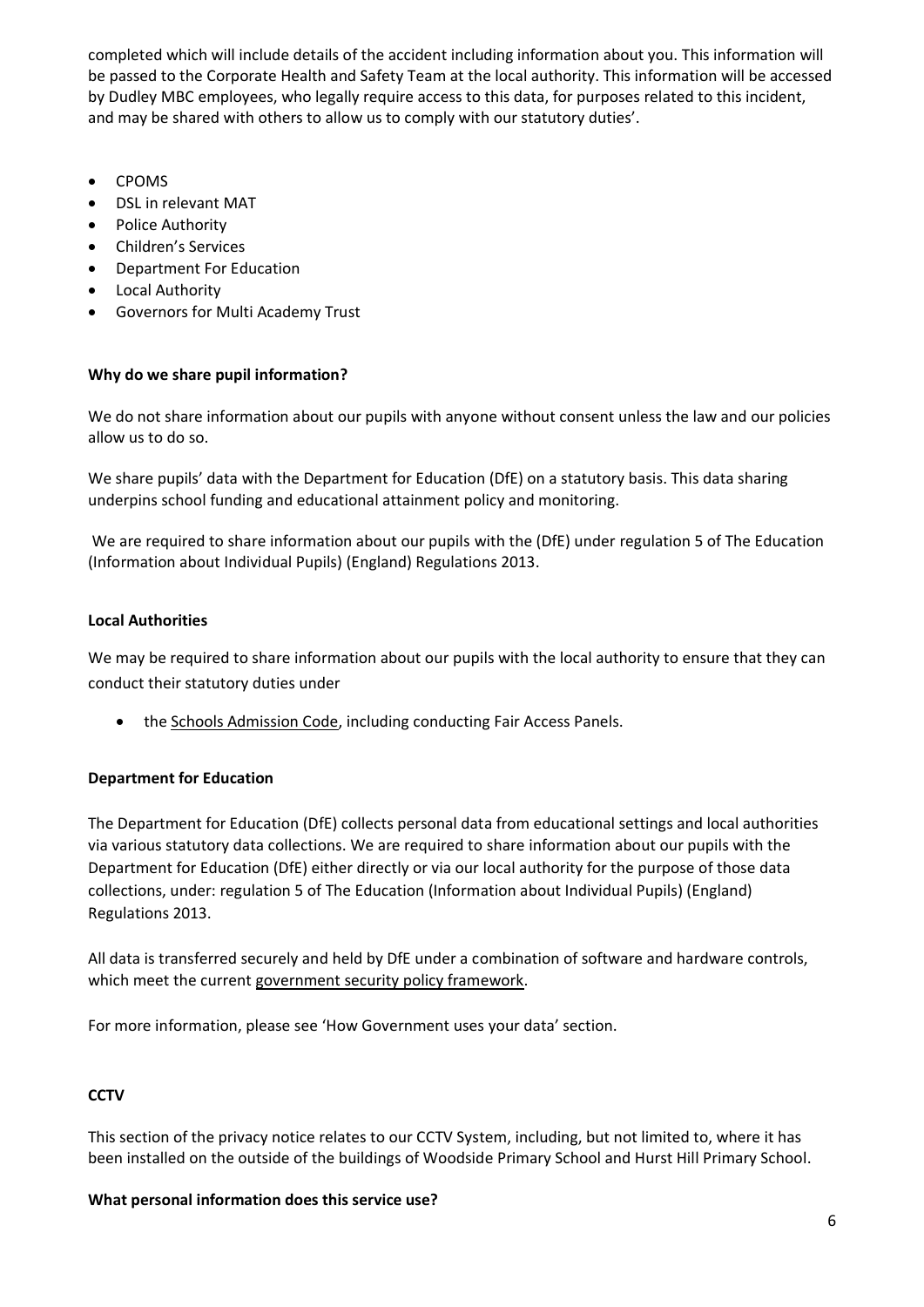completed which will include details of the accident including information about you. This information will be passed to the Corporate Health and Safety Team at the local authority. This information will be accessed by Dudley MBC employees, who legally require access to this data, for purposes related to this incident, and may be shared with others to allow us to comply with our statutory duties'.

- CPOMS
- DSL in relevant MAT
- Police Authority
- Children's Services
- Department For Education
- Local Authority
- Governors for Multi Academy Trust

### **Why do we share pupil information?**

We do not share information about our pupils with anyone without consent unless the law and our policies allow us to do so.

We share pupils' data with the Department for Education (DfE) on a statutory basis. This data sharing underpins school funding and educational attainment policy and monitoring.

We are required to share information about our pupils with the (DfE) under regulation 5 of The Education (Information about Individual Pupils) (England) Regulations 2013.

### **Local Authorities**

We may be required to share information about our pupils with the local authority to ensure that they can conduct their statutory duties under

• the [Schools Admission Code,](https://www.gov.uk/government/publications/school-admissions-code--2) including conducting Fair Access Panels.

### **Department for Education**

The Department for Education (DfE) collects personal data from educational settings and local authorities via various statutory data collections. We are required to share information about our pupils with the Department for Education (DfE) either directly or via our local authority for the purpose of those data collections, under: regulation 5 of The Education (Information about Individual Pupils) (England) Regulations 2013.

All data is transferred securely and held by DfE under a combination of software and hardware controls, which meet the curren[t government security policy framework.](https://www.gov.uk/government/publications/security-policy-framework)

For more information, please see 'How Government uses your data' section.

# **CCTV**

This section of the privacy notice relates to our CCTV System, including, but not limited to, where it has been installed on the outside of the buildings of Woodside Primary School and Hurst Hill Primary School.

#### **What personal information does this service use?**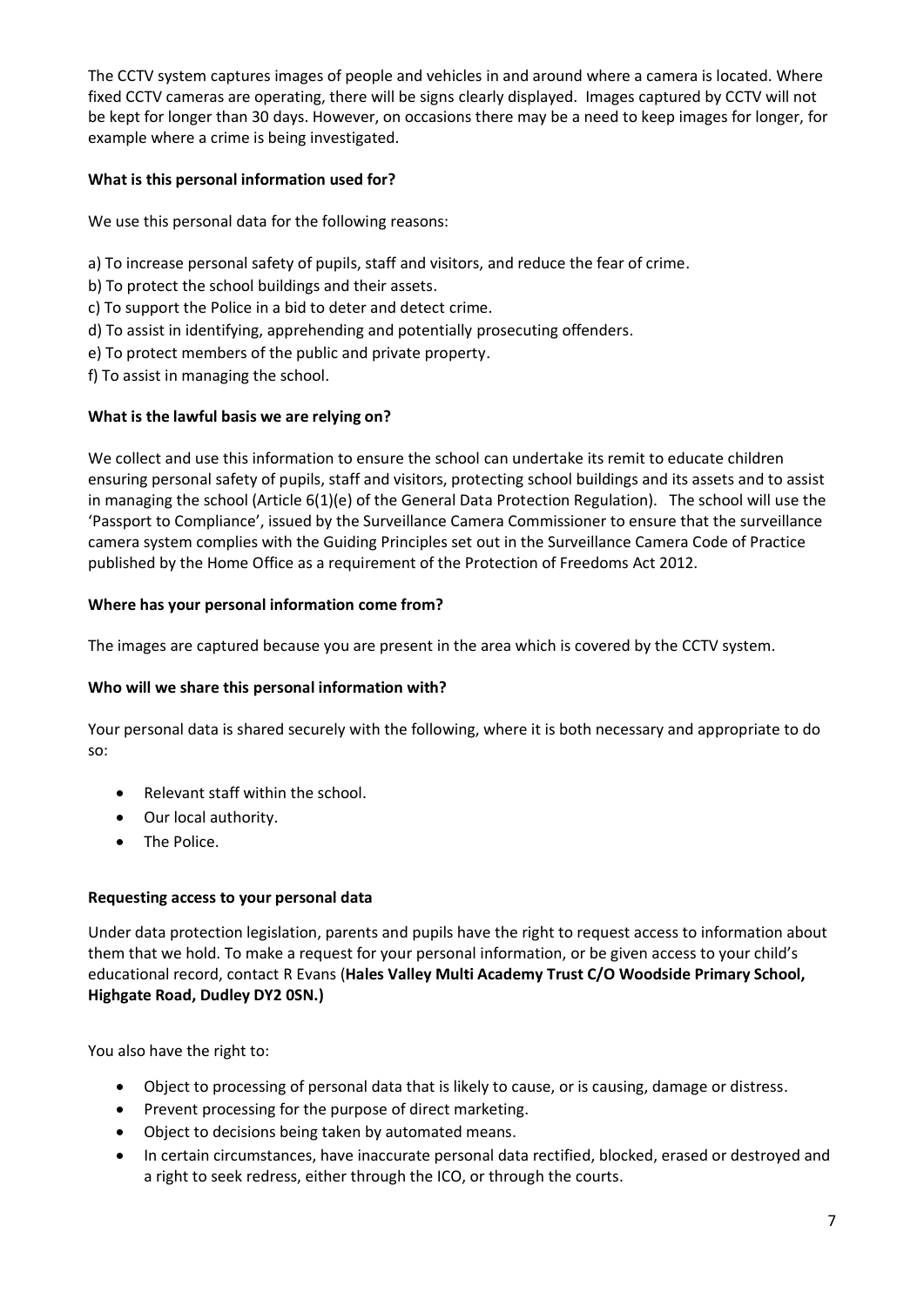The CCTV system captures images of people and vehicles in and around where a camera is located. Where fixed CCTV cameras are operating, there will be signs clearly displayed. Images captured by CCTV will not be kept for longer than 30 days. However, on occasions there may be a need to keep images for longer, for example where a crime is being investigated.

## **What is this personal information used for?**

We use this personal data for the following reasons:

- a) To increase personal safety of pupils, staff and visitors, and reduce the fear of crime.
- b) To protect the school buildings and their assets.
- c) To support the Police in a bid to deter and detect crime.
- d) To assist in identifying, apprehending and potentially prosecuting offenders.
- e) To protect members of the public and private property.
- f) To assist in managing the school.

### **What is the lawful basis we are relying on?**

We collect and use this information to ensure the school can undertake its remit to educate children ensuring personal safety of pupils, staff and visitors, protecting school buildings and its assets and to assist in managing the school (Article 6(1)(e) of the General Data Protection Regulation). The school will use the 'Passport to Compliance', issued by the Surveillance Camera Commissioner to ensure that the surveillance camera system complies with the Guiding Principles set out in the Surveillance Camera Code of Practice published by the Home Office as a requirement of the Protection of Freedoms Act 2012.

### **Where has your personal information come from?**

The images are captured because you are present in the area which is covered by the CCTV system.

### **Who will we share this personal information with?**

Your personal data is shared securely with the following, where it is both necessary and appropriate to do so:

- Relevant staff within the school.
- Our local authority.
- The Police.

### **Requesting access to your personal data**

Under data protection legislation, parents and pupils have the right to request access to information about them that we hold. To make a request for your personal information, or be given access to your child's educational record, contact R Evans (**Hales Valley Multi Academy Trust C/O Woodside Primary School, Highgate Road, Dudley DY2 0SN.)**

You also have the right to:

- Object to processing of personal data that is likely to cause, or is causing, damage or distress.
- Prevent processing for the purpose of direct marketing.
- Object to decisions being taken by automated means.
- In certain circumstances, have inaccurate personal data rectified, blocked, erased or destroyed and a right to seek redress, either through the ICO, or through the courts.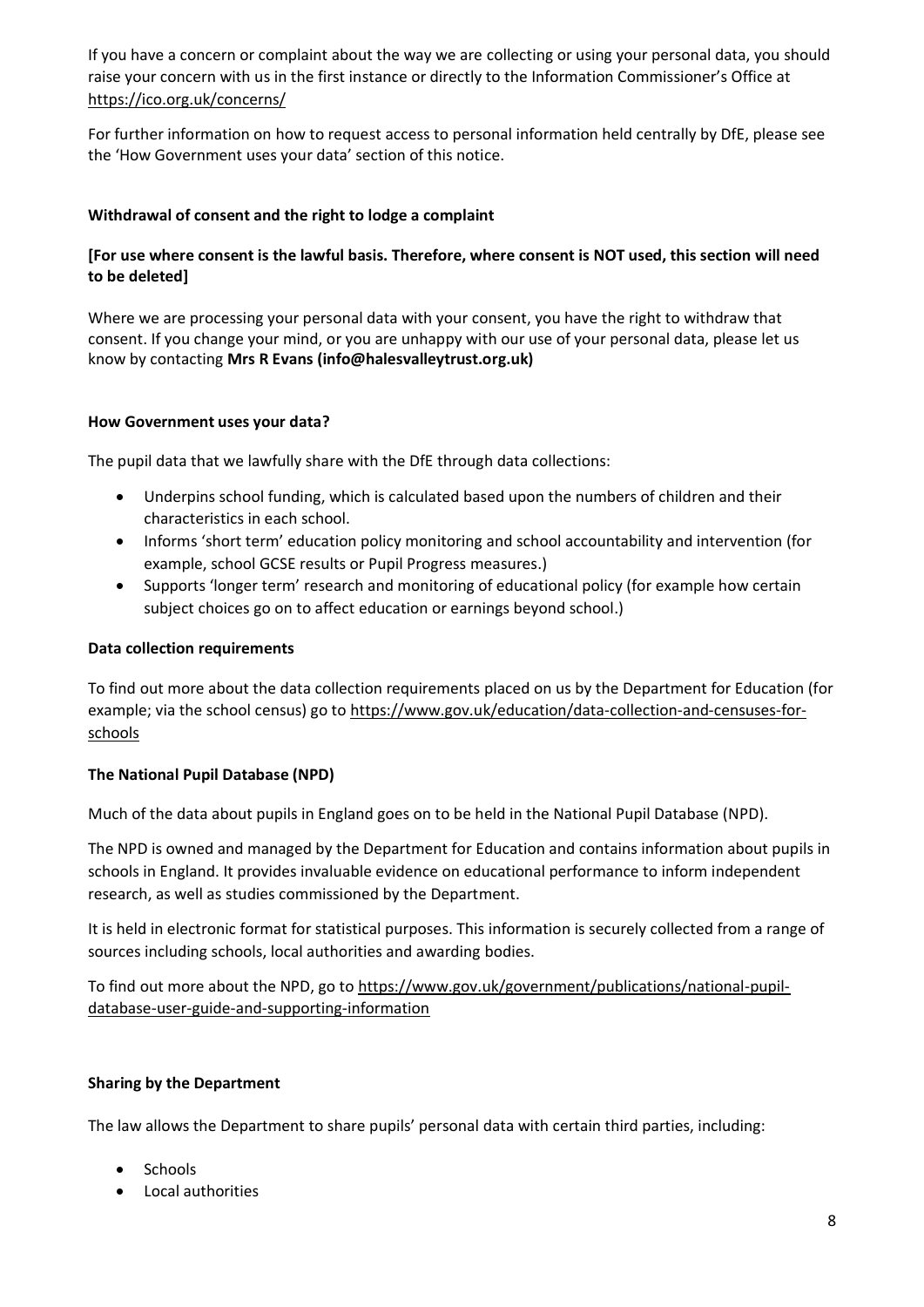If you have a concern or complaint about the way we are collecting or using your personal data, you should raise your concern with us in the first instance or directly to the Information Commissioner's Office at <https://ico.org.uk/concerns/>

For further information on how to request access to personal information held centrally by DfE, please see the 'How Government uses your data' section of this notice.

#### **Withdrawal of consent and the right to lodge a complaint**

## **[For use where consent is the lawful basis. Therefore, where consent is NOT used, this section will need to be deleted]**

Where we are processing your personal data with your consent, you have the right to withdraw that consent. If you change your mind, or you are unhappy with our use of your personal data, please let us know by contacting **Mrs R Evans (info@halesvalleytrust.org.uk)**

#### **How Government uses your data?**

The pupil data that we lawfully share with the DfE through data collections:

- Underpins school funding, which is calculated based upon the numbers of children and their characteristics in each school.
- Informs 'short term' education policy monitoring and school accountability and intervention (for example, school GCSE results or Pupil Progress measures.)
- Supports 'longer term' research and monitoring of educational policy (for example how certain subject choices go on to affect education or earnings beyond school.)

#### **Data collection requirements**

To find out more about the data collection requirements placed on us by the Department for Education (for example; via the school census) go to [https://www.gov.uk/education/data-collection-and-censuses-for](https://www.gov.uk/education/data-collection-and-censuses-for-schools)[schools](https://www.gov.uk/education/data-collection-and-censuses-for-schools)

### **The National Pupil Database (NPD)**

Much of the data about pupils in England goes on to be held in the National Pupil Database (NPD).

The NPD is owned and managed by the Department for Education and contains information about pupils in schools in England. It provides invaluable evidence on educational performance to inform independent research, as well as studies commissioned by the Department.

It is held in electronic format for statistical purposes. This information is securely collected from a range of sources including schools, local authorities and awarding bodies.

To find out more about the NPD, go to [https://www.gov.uk/government/publications/national-pupil](https://www.gov.uk/government/publications/national-pupil-database-user-guide-and-supporting-information)[database-user-guide-and-supporting-information](https://www.gov.uk/government/publications/national-pupil-database-user-guide-and-supporting-information)

### **Sharing by the Department**

The law allows the Department to share pupils' personal data with certain third parties, including:

- Schools
- Local authorities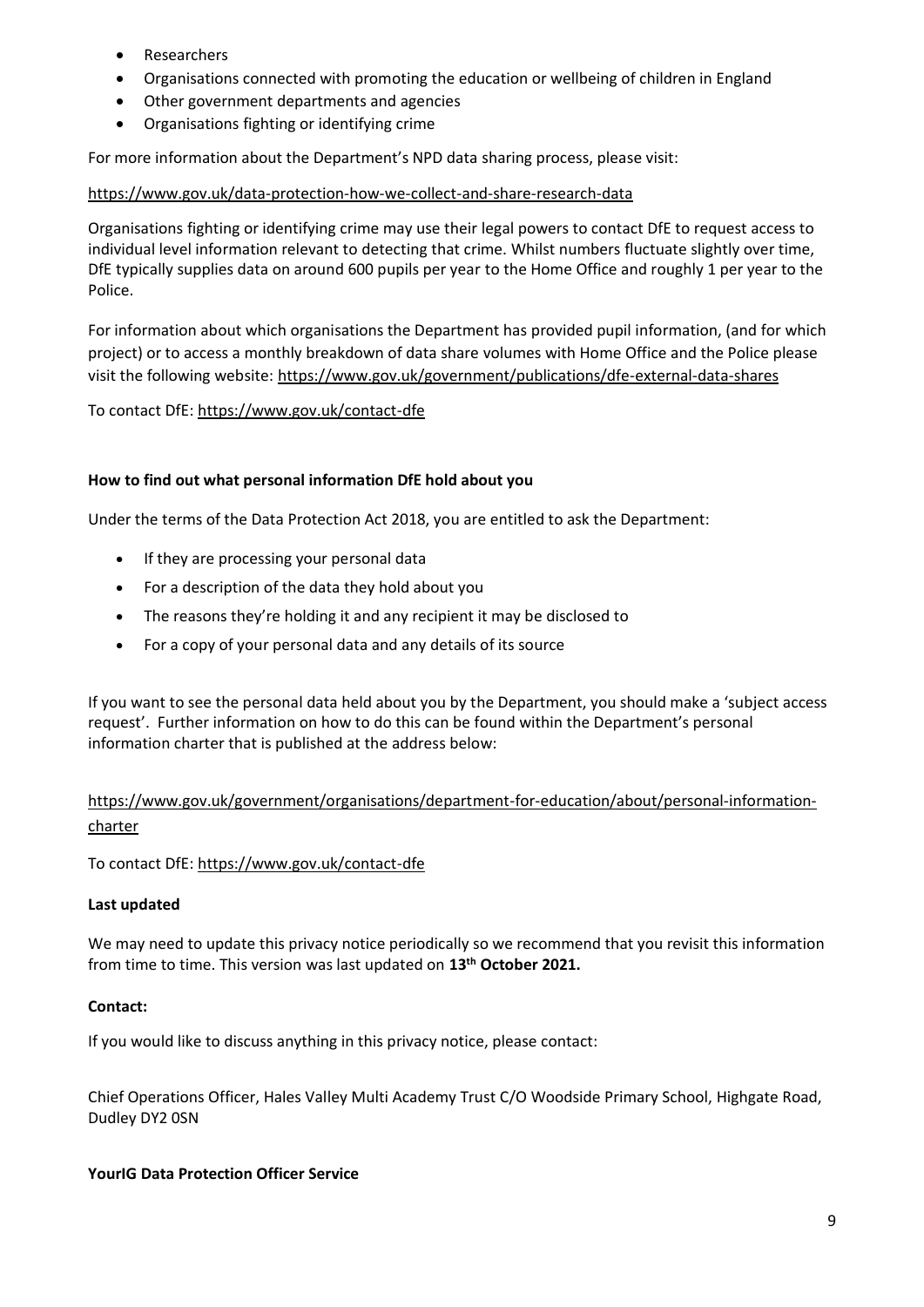- Researchers
- Organisations connected with promoting the education or wellbeing of children in England
- Other government departments and agencies
- Organisations fighting or identifying crime

For more information about the Department's NPD data sharing process, please visit:

#### <https://www.gov.uk/data-protection-how-we-collect-and-share-research-data>

Organisations fighting or identifying crime may use their legal powers to contact DfE to request access to individual level information relevant to detecting that crime. Whilst numbers fluctuate slightly over time, DfE typically supplies data on around 600 pupils per year to the Home Office and roughly 1 per year to the Police.

For information about which organisations the Department has provided pupil information, (and for which project) or to access a monthly breakdown of data share volumes with Home Office and the Police please visit the following website: <https://www.gov.uk/government/publications/dfe-external-data-shares>

#### To contact DfE:<https://www.gov.uk/contact-dfe>

#### **How to find out what personal information DfE hold about you**

Under the terms of the Data Protection Act 2018, you are entitled to ask the Department:

- If they are processing your personal data
- For a description of the data they hold about you
- The reasons they're holding it and any recipient it may be disclosed to
- For a copy of your personal data and any details of its source

If you want to see the personal data held about you by the Department, you should make a 'subject access request'. Further information on how to do this can be found within the Department's personal information charter that is published at the address below:

# [https://www.gov.uk/government/organisations/department-for-education/about/personal-information](https://www.gov.uk/government/organisations/department-for-education/about/personal-information-charter)[charter](https://www.gov.uk/government/organisations/department-for-education/about/personal-information-charter)

To contact DfE:<https://www.gov.uk/contact-dfe>

#### **Last updated**

We may need to update this privacy notice periodically so we recommend that you revisit this information from time to time. This version was last updated on **13th October 2021.**

### **Contact:**

If you would like to discuss anything in this privacy notice, please contact:

Chief Operations Officer, Hales Valley Multi Academy Trust C/O Woodside Primary School, Highgate Road, Dudley DY2 0SN

#### **YourIG Data Protection Officer Service**